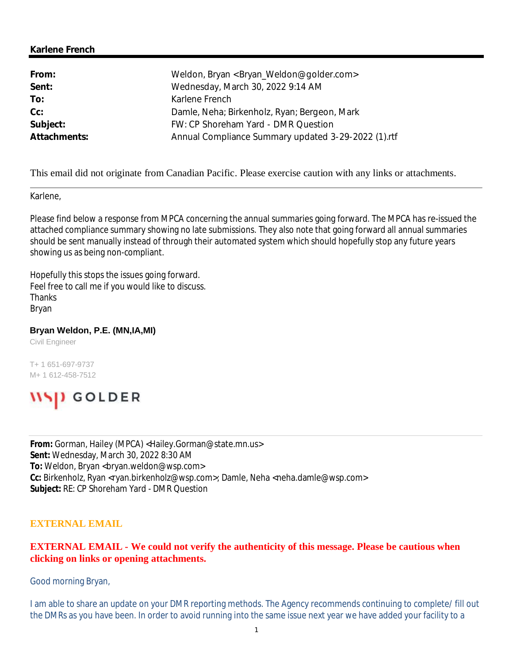### **Karlene French**

| From:        | Weldon, Bryan <bryan_weldon@golder.com></bryan_weldon@golder.com> |
|--------------|-------------------------------------------------------------------|
| Sent:        | Wednesday, March 30, 2022 9:14 AM                                 |
| To:          | Karlene French                                                    |
| $Cc$ :       | Damle, Neha; Birkenholz, Ryan; Bergeon, Mark                      |
| Subject:     | FW: CP Shoreham Yard - DMR Question                               |
| Attachments: | Annual Compliance Summary updated 3-29-2022 (1).rtf               |

This email did not originate from Canadian Pacific. Please exercise caution with any links or attachments.

Karlene,

Please find below a response from MPCA concerning the annual summaries going forward. The MPCA has re-issued the attached compliance summary showing no late submissions. They also note that going forward all annual summaries should be sent manually instead of through their automated system which should hopefully stop any future years showing us as being non-compliant.

Hopefully this stops the issues going forward. Feel free to call me if you would like to discuss. Thanks Bryan

#### **Bryan Weldon, P.E. (MN,IA,MI)**

Civil Engineer

T+ 1 651-697-9737 M+ 1 612-458-7512



**From:** Gorman, Hailey (MPCA) <Hailey.Gorman@state.mn.us> **Sent:** Wednesday, March 30, 2022 8:30 AM To: Weldon, Bryan <br />bryan.weldon@wsp.com> **Cc:** Birkenholz, Ryan <ryan.birkenholz@wsp.com>; Damle, Neha <neha.damle@wsp.com> **Subject:** RE: CP Shoreham Yard - DMR Question

### **EXTERNAL EMAIL**

## **EXTERNAL EMAIL - We could not verify the authenticity of this message. Please be cautious when clicking on links or opening attachments.**

Good morning Bryan,

I am able to share an update on your DMR reporting methods. The Agency recommends continuing to complete/ fill out the DMRs as you have been. In order to avoid running into the same issue next year we have added your facility to a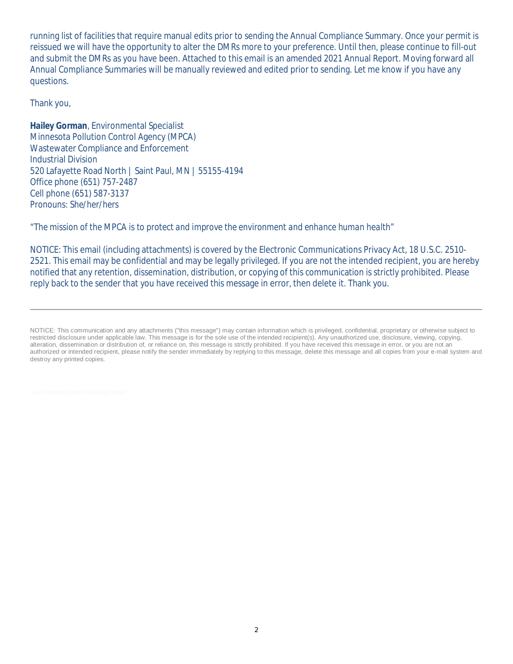running list of facilities that require manual edits prior to sending the Annual Compliance Summary. Once your permit is reissued we will have the opportunity to alter the DMRs more to your preference. Until then, please continue to fill-out and submit the DMRs as you have been. Attached to this email is an amended 2021 Annual Report. Moving forward all Annual Compliance Summaries will be manually reviewed and edited prior to sending. Let me know if you have any questions.

Thank you,

**Hailey Gorman**, Environmental Specialist Minnesota Pollution Control Agency (MPCA) Wastewater Compliance and Enforcement Industrial Division 520 Lafayette Road North | Saint Paul, MN | 55155-4194 Office phone (651) 757-2487 Cell phone (651) 587-3137 *Pronouns: She/her/hers*

*"The mission of the MPCA is to protect and improve the environment and enhance human health"*

NOTICE: This email (including attachments) is covered by the Electronic Communications Privacy Act, 18 U.S.C. 2510- 2521. This email may be confidential and may be legally privileged. If you are not the intended recipient, you are hereby notified that any retention, dissemination, distribution, or copying of this communication is strictly prohibited. Please reply back to the sender that you have received this message in error, then delete it. Thank you.

NOTICE: This communication and any attachments ("this message") may contain information which is privileged, confidential, proprietary or otherwise subject to restricted disclosure under applicable law. This message is for the sole use of the intended recipient(s). Any unauthorized use, disclosure, viewing, copying, alteration, dissemination or distribution of, or reliance on, this message is strictly prohibited. If you have received this message in error, or you are not an authorized or intended recipient, please notify the sender immediately by replying to this message, delete this message and all copies from your e-mail system and destroy any printed copies.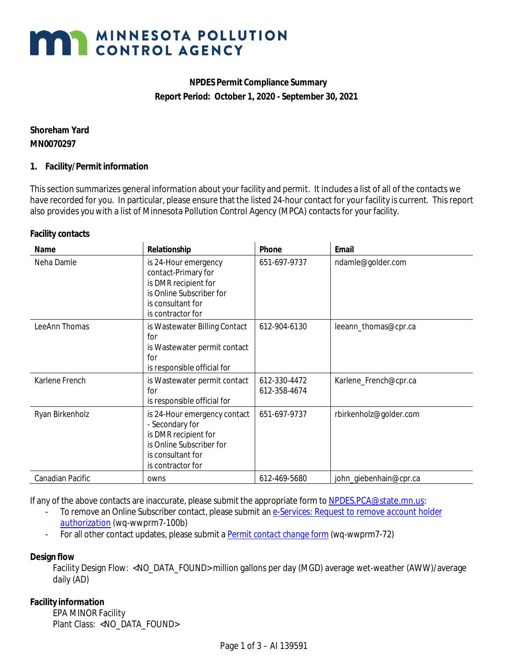# **MAN MINNESOTA POLLUTION**

# **NPDES Permit Compliance Summary Report Period: October 1, 2020 - September 30, 2021**

**Shoreham Yard MN0070297**

### **1. Facility/Permit information**

Thissection summarizes general information about your facility and permit. It includes a list of all of the contacts we have recorded for you. In particular, please ensure that the listed 24-hour contact for your facility is current. This report also provides you with a list of Minnesota Pollution Control Agency (MPCA) contacts for your facility.

**Facility contacts**

| Name             | Relationship                                                                                                                                  | Phone                        | Email                  |
|------------------|-----------------------------------------------------------------------------------------------------------------------------------------------|------------------------------|------------------------|
| Neha Damle       | is 24-Hour emergency<br>contact-Primary for<br>is DMR recipient for<br>is Online Subscriber for<br>is consultant for<br>is contractor for     | 651-697-9737                 | ndamle@golder.com      |
| LeeAnn Thomas    | is Wastewater Billing Contact<br>for<br>is Wastewater permit contact<br>for<br>is responsible official for                                    | 612-904-6130                 | leeann_thomas@cpr.ca   |
| Karlene French   | is Wastewater permit contact<br>for<br>is responsible official for                                                                            | 612-330-4472<br>612-358-4674 | Karlene_French@cpr.ca  |
| Ryan Birkenholz  | is 24-Hour emergency contact<br>- Secondary for<br>is DMR recipient for<br>is Online Subscriber for<br>is consultant for<br>is contractor for | 651-697-9737                 | rbirkenholz@golder.com |
| Canadian Pacific | owns                                                                                                                                          | 612-469-5680                 | john_giebenhain@cpr.ca |

If any of the above contacts are inaccurate, please submit the appropriate form to [NPDES.PCA@state.mn.us:](mailto:NPDES.PCA@state.mn.us)

- To remove an Online Subscriber contact, please submit an *[e-Services: Request to remove account holder](https://www.pca.state.mn.us/sites/default/files/wq-wwprm7-100b.docx) [authorization](https://www.pca.state.mn.us/sites/default/files/wq-wwprm7-100b.docx)* (wq-wwprm7-100b)
- For all other contact updates, please submit a *[Permit contact change form](https://www.pca.state.mn.us/sites/default/files/wq-wwprm7-72.docx)* (wq-wwprm7-72)

**Design flow**

Facility Design Flow: <NO\_DATA\_FOUND> million gallons per day (MGD) average wet-weather (AWW)/average daily (AD)

**Facility information** EPA MINOR Facility Plant Class: <NO\_DATA\_FOUND>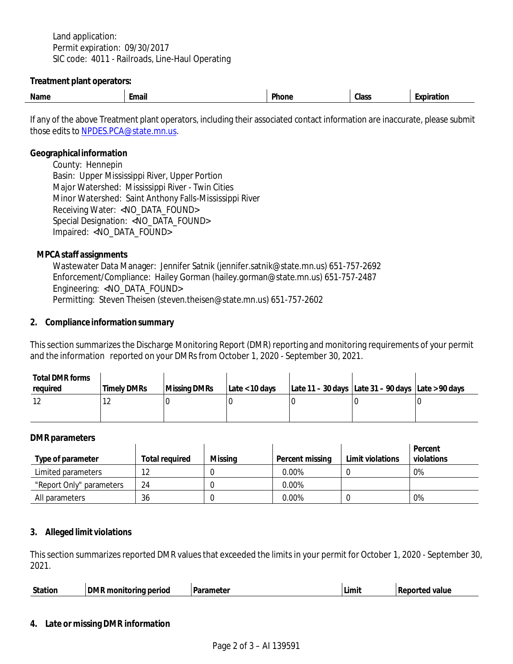Land application: Permit expiration: 09/30/2017 SIC code: 4011 - Railroads, Line-Haul Operating

**Treatment plant operators:**

| Name | nail | Dh<br>one | Class | וור |
|------|------|-----------|-------|-----|
|      |      |           |       |     |

If any of the above Treatment plant operators, including their associated contact information are inaccurate, please submit those edits to [NPDES.PCA@state.mn.us.](mailto:NPDES.PCA@state.mn.us)

**Geographicalinformation**

County: Hennepin Basin: Upper Mississippi River, Upper Portion Major Watershed: Mississippi River - Twin Cities Minor Watershed: Saint Anthony Falls-Mississippi River Receiving Water: <NO\_DATA\_FOUND> Special Designation: <NO\_DATA\_FOUND> Impaired: <NO\_DATA\_FOUND>

**MPCAstaff assignments**

Wastewater Data Manager: Jennifer Satnik (jennifer.satnik@state.mn.us) 651-757-2692 Enforcement/Compliance: Hailey Gorman (hailey.gorman@state.mn.us) 651-757-2487 Engineering: <NO\_DATA\_FOUND> Permitting: Steven Theisen (steven.theisen@state.mn.us) 651-757-2602

**2. Compliance information summary**

Thissection summarizesthe Discharge Monitoring Report (DMR) reporting and monitoring requirements of your permit and the information reported on your DMRsfrom October 1, 2020 - September 30, 2021.

| Total DMR forms<br>required | <b>Timely DMRs</b> | Missina DMRs | Late < 10 days | Late 11 – 30 days Late 31 – 90 days Late > 90 days |  |
|-----------------------------|--------------------|--------------|----------------|----------------------------------------------------|--|
|                             | . <u>.</u>         |              |                |                                                    |  |

### **DMR parameters**

|                          |                |         |                 |                  | Percent    |
|--------------------------|----------------|---------|-----------------|------------------|------------|
| Type of parameter        | Total required | Missina | Percent missing | Limit violations | violations |
| Limited parameters       |                |         | 0.00%           |                  | 0%         |
| "Report Only" parameters | 24             |         | $0.00\%$        |                  |            |
| All parameters           | 36             |         | 0.00%           |                  | 0%         |

### **3. Alleged limit violations**

This section summarizes reported DMR values that exceeded the limits in your permit for October 1, 2020 - September 30, 2021.

| Station | <b>DMR</b><br>l monitorina period | - Parai.<br>arameter | Limit | Reporte<br>value<br>$\alpha$ |
|---------|-----------------------------------|----------------------|-------|------------------------------|
|         |                                   |                      |       |                              |

### **4. Late or missing DMR information**